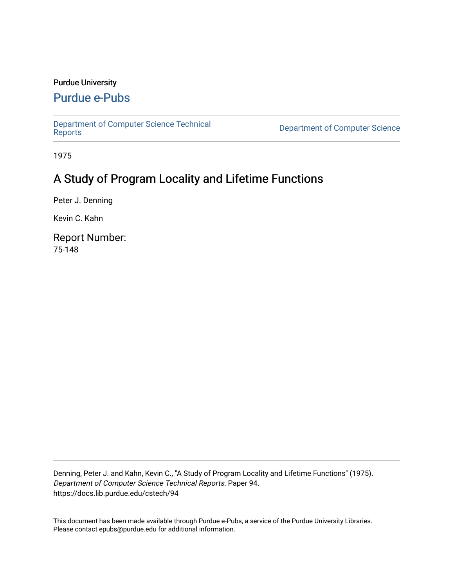# Purdue University

# [Purdue e-Pubs](https://docs.lib.purdue.edu/)

[Department of Computer Science Technical](https://docs.lib.purdue.edu/cstech) 

**Department of Computer Science** 

1975

# A Study of Program Locality and Lifetime Functions

Peter J. Denning

Kevin C. Kahn

Report Number: 75-148

Denning, Peter J. and Kahn, Kevin C., "A Study of Program Locality and Lifetime Functions" (1975). Department of Computer Science Technical Reports. Paper 94. https://docs.lib.purdue.edu/cstech/94

This document has been made available through Purdue e-Pubs, a service of the Purdue University Libraries. Please contact epubs@purdue.edu for additional information.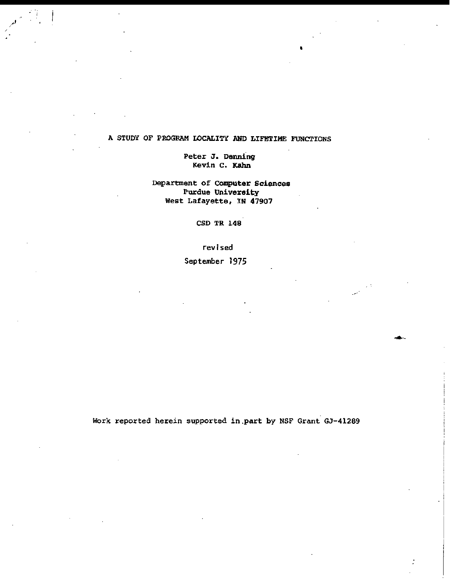# A STUDY OF PROGRAM LOCALITY AND LIFETIME FUNCTIONS

•

i i

 $\mid$ 

I I

I

# Peter J. Denning Kevin c. Kahn

Department of Computer Sciences Purdue University West Lafayette, IN 47907

CSD TR 148

revised

September 1975

Work reported herein supported in.part by NSF Grant GJ-41289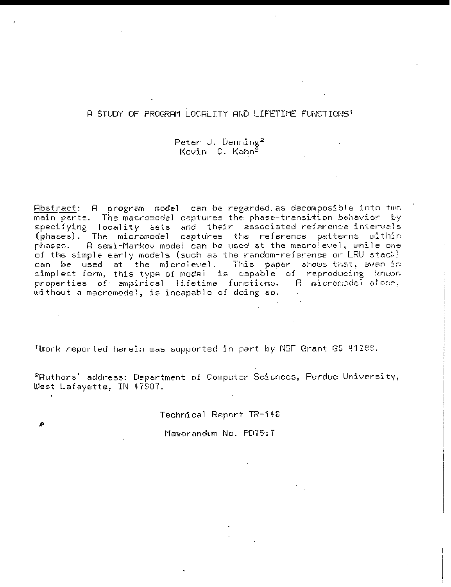# A STUDY OF PROGRAM LOCALITY AND LIFETIME FUNCTIONS<sup>1</sup>

Peter J. Denning<sup>2</sup> Kevin C. Kahn<sup>e</sup>

Abstract: A program model can be regarded as decomposible into two main parts. The macromodel captures the phase-transition behavior by specifying locality sets and their associated reference intervals (phases). The micromodel captures the reference patterns within phases. A semi-Markov model can be used at the macrolevel, while one of the simple early models (such as the random-reference or LRU stack). can be used at the microlevel. This paper shows that, even in<br>simplest form, this type of model is capable of reproducing known properties of empirical lifetime functions. A micromodel alone, without a macromodel, is incapable of doing so.

<sup>1</sup>Work reported herein was supported in part by NSF Grant G5-41289.

<sup>2</sup>Authors' address: Department of Computer Sciences, Purdue University, West Lafayette, IN 47907.

Technical Report TR-148

Memorandum No. PD75:7

ρ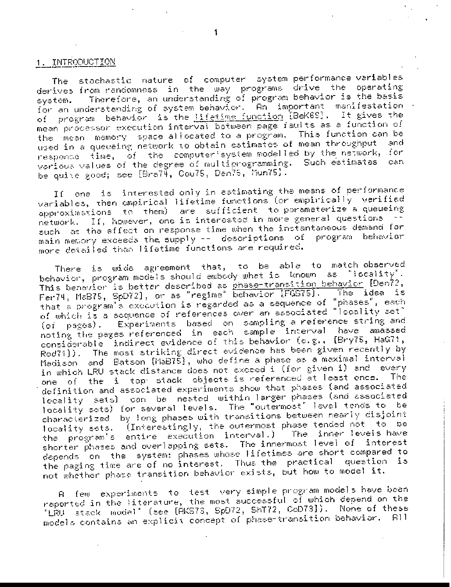# 1. INTRODUCTION

The stochastic nature of computer system performance variables derives from randomness in the way programs drive the operating Therefore, an understanding of program behavior is the basis system. for an understanding of system behavior.  $\mathsf{An}^\top$  important manifestation  $\cdot$ of program behavior is the lifetime function [BeK6S]. It gives the mean processor execution interval between page faults as a function of the mean memory space allocated to a program. This function can be used in a queueing network to obtain estimates of mean throughput and response time, of the computer'system modelled by the network, for various values of the degree of multiprogramming. Such estimates can be quire good; see [Bra74, Cou75, Den75, Mun75].

one is interested only in estimating the means of performance Ιſ variables, then empirical lifetime functions (or empirically verified approximations to them) are sufficient to parameterize a queueing network. If, however, one is interested in more general questions such as the effect on response time when the instantaneous demand for main memory exceeds the supply -- descriptions of program behavior more detailed than lifetime functions are required.

There is wide agreement that, to be able to match-observed behavior, program models should embody what is known as "locality". This benavior is better described as phase-transition behavior [Den72,<br>Fer74, MaB75, SpD72], or as "regime" behavior [FGS75]. The idea is The idea is that a program's execution is regarded as a sequence of "phases", each of which is a sequence of references over an associated "locality set" (of pages). Experiments based on sampling a reference string and noting the pages referenced in each sample interval have amassed considerable indirect evidence of this behavior (e.g., [Bry75, HaG71, Rod71]). The most striking direct evidence has been given recently by Madison and Batson [MaB75], who define a phase as a maximal interval in which LRU stack distance does not exceed i (for given i) and levery one of the i top stack objects is referenced at least once. The. definition and associated experiments show that phases (and associated locality sets) can be neated within larger phases (and associated locality sets) for several levels. The "outermost" level tends to be characterized by long phases with transitions between nearly disjoint locality sets. (Interestingly, the outermost phase tended not to be the program's entire execution interval.) -inner leveis have The shorter phases and overlapping sets. The innermost level of interest depends on the system: phases whose lifetimes are short compared to the paging time are of no interest. Thus the practical question is not whether phase transition behavior exists, but how to model it.

few experiments to test very simple program models have been ĒL. reported in the literature, the most successful of which depend on the "LRU stack model" (see [AKS73, SpD72, ShT72, CoD73]). None of these models contains an explicit concept of phase-transition behavior. All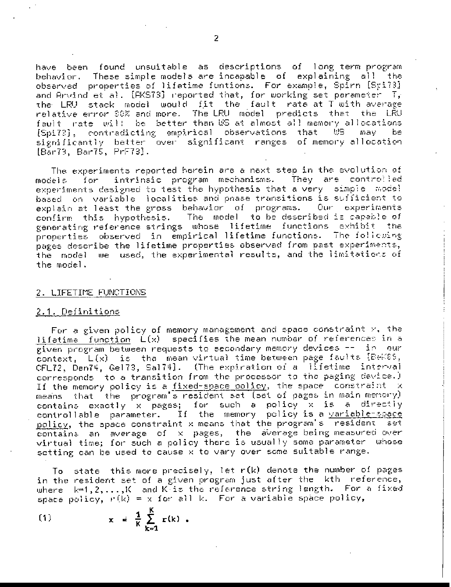have been found unsuitable as descriptions of long-term-program behavior. These simple models are incapable of explaining all the observed properties of lifetime funtions. For example, Spirn [Spi?3] and Arvind et al. [RKS73] reported that, for working set parameter  $T_{\rm s}$ the LRU stack model would fit the fault rate at T with average relative error 30% and more. The LRU model predicts that the LRU fault rate will be better than US at almost all memory allocations [Spi73], contradicting empirical observations that WS may a bel significantly better over significant ranges of memory allocation [Bar73, Bar75, PrF73].

The experiments reported herein are a next step in the evolution of for intrinsic program mechanisms. They are controlled mode}s : experiments designed to test the hypothesis that a very simple model based on variable localities and phase transitions is sufficient to explain at least the gross behavior of programs. Our experiments The model to be described is capable of confirm this hypothesis. generating reference strings whose lifetime functions exhibit the properties observed in empirical lifetime functions. The following pages describe the lifetime properties observed from past experiments, the model we used, the experimental results, and the limitations of the model.

#### 2. LIFETIME FUNCTIONS

#### <u> 2.1. Definitions</u>

For a given policy of memory management and space constraint  $\gamma$ , the lifetime function  $L(x)$  specifies the mean number of references in a given program between requests to secondary memory devices -- in our context,  $L(x)$  is the mean virtual time between page faults  $E\in\{88\}$ , CFL72, Den74, Ge173, Sa174]. (The expiration of allifetime linterval corresponds to a transition from the processor to the paging device.) If the memory policy is a fixed-space policy, the space constraint x that the program s resident set (set of pages in main memory) means contains exactly x pages; for such a policy x is a directly controllable parameter. If the memory policy is a variable-space policy, the space constraint x means that the program's resident set contains an average of x pages, the average-being-measured-over virtual time; for such a policy there is usually some parameter whose setting can be used to cause x to vary over some suitable range.

To state this more precisely, let  $r(k)$  denote the number of pages in the resident set of a given program just after the kth reference, where  $k=1,2,\ldots,K$  and K-is the reference string length. For a fixed space policy,  $r(k) = x$  for all k. For a variable space policy,

$$
(1) \quad \text{in } \quad
$$

$$
\frac{1}{K}\sum_{k=1}^K r(k) .
$$

 $x = 1$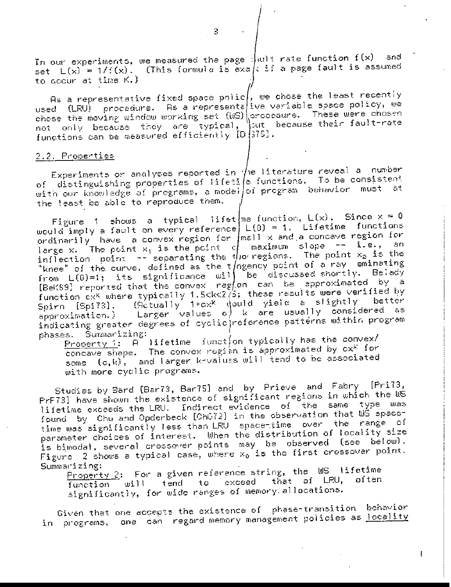In our experiments, we measured the page  $|\psi_0\rangle$  and  $f(x)$  and  $f(x)$ and set  $L(x) = 1/f(x)$ . (This formula is exa/: if a page fault is assumed to goour at time K.)

As a representative fixed space polic $\vert$ , we chose the least recently used (LRU) procedure. As a representative variable space policy, we chose the moving window working set (WS) procedure. These were chosen  $\mathbb{V}$ sut -because their fault-rate not only because they are typical, functions can be measured efficiently [D]375].

## 2.2. Properties

Experiments or analyses reported in  $\sqrt{}$ ne literature reveal a number of distinguishing properties of lifeti/e functions. To be consistent with our knowledge of pregrams, a model/of program behavior must at the least be able to reproduce them.

Figure 1 shows a typical lifet ne function,  $L(x)$ . Since  $x = 0$ would imply a fault on every reference  $\lfloor L(0) \rfloor = 1$ . Lifetime functions ordinarily have a convex region for  $|m\epsilon|1\times$  and a concave region for large x. The point  $x_1$  is the point of maximum slope  $-$  i.e., an inflection point  $-$  separating the thorregions. The point  $x_2$  is the "knee" of the curve, defined as the t/ngency point of a ray eminating from  $L(0)=1$ ; its significance will be discussed shortly. Belady [BeK\$9] reported that the convex region can be approximated by a function  $c x^K$  where typically 1.5<k<2 $\check{\ell}$ s; these results were verified by (Sctually 1+cx<sup>k</sup> would yield a slightly better Spirn [Spi73]. approximation.) Larger values of k are usually considered as indicating greater degrees of cyclic reference patterns within program phases. Summarizing:

<u>Property 1</u>:  $\overline{\mathsf{P}}$  lifetime funct/on typically has the convex/ concave shape. The convex region is approximated by  $\mathbf{cx}^k$  for some (c,k), and larger k-values will tend to be associated with more cyclic programs.

Studies by Bard [Bar73, Bar75] and by Prieve and Fabry [Pri73, PrF73] have shown the existence of significant regions in which the WS lifetime exceeds the LRU. Indirect evidence of the same type was found by Chu and Opderbeck [ChO72] in the observation that WS spacetime was significantly less than LRU space-time over the range of parameter choices of interest. When the distribution of locality size is bimodal, several crossover points may be observed (see below). Figure  $\,$  2 shows a typical case, where  $\mathrm{x_{0}}$  is the first crossover point. Summarizing:

Property 2: For a given reference string, the US lifetime function will tend to exceed that of LRU, often significantly, for wide ranges of memory allocations.

Given that one accepts the existence of phase-transition behavior in programs, one can regard memory management policies as <u>locality</u>

 $\mathbb{R}^2$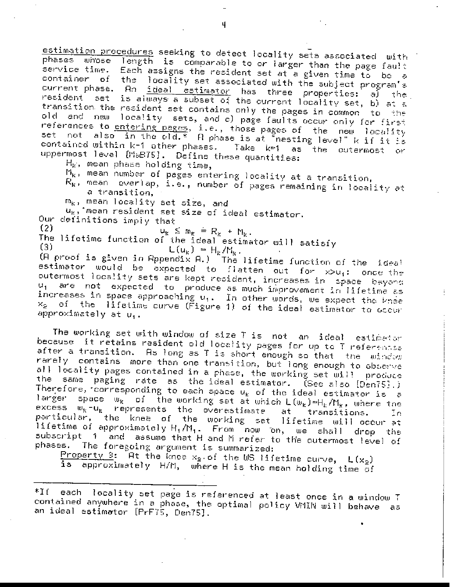estimation procedures seeking to detect locality sets associated with phases whose length is comparable to or larger than the page fault service time. Each assigns the resident set at a given time to be a container of the locality set associated with the subject program's current phase. An <u>ideal estimator</u> has three properties: a) the resident set is always a subset of the current locality set, b) at a transition the resident set contains only the pages in common to the old and new locality sets, and c) page faults occur only for first references to entering pages, i.e., those pages of the new locality set not also in the old.\* A phase is at "nesting level" k if it is contained within k-1 other phases. Take k=1 as the outermost or uppermost level [MaB75]. Define these quantities:

 $H_{\scriptscriptstyle\rm K}$ , mean phase holding time,

- $M_{k,i}$ , mean number of pages entering locality at a transition,
- $R_{k}$ , mean everlap, i.e., number of pages remaining in locality at a transition,

m<sub>k</sub>, mean locality set size, and

 $u_{k}$ , mean resident set size of ideal estimator.

Our definitions imply that

 $(2)$  $u_k \le m_k = R_k + N_k$ .

The lifetime function of the ideal estimator will satisfy  $(3)$ 

 $L(u_k) = H_k / M_k.$ 

(A proof is given in Appendix A.) The lifetime function of the lideal estimator would be expected to flatten out for x>u<sub>i</sub>: once the outermost locality sets are kept resident, increases in space beyond  $u_1$  are not expected to produce as much improvement in lifetime as increases in space approaching  $u_1$ . In other words, we expect the knee x<sub>2</sub> of the lifetime curve (Figure 1) of the ideal estimator to occur approximately at u<sub>1</sub>.

The working set with window of size T is not an ideal estimator because it retains resident old locality pages for up to T referentsa after a transition. As long as T is short enough so that the window rarely contains more than one transition, but long enough to observe all locality pages contained in a phase, the working set will produce the same paging rate as the ideal estimator. (See also [Den75].) Therefore, corresponding to each space  $u_k$  of the ideal estimator is a larger space  $w_k$  of the working set at which  $\mathsf{L}(w_k) \approx \mathsf{H}_k/\mathsf{M}_k$ , where the excess  $w_{K}$ - $u_{K}$  represents the overestimate at transitions. In particular, the knee of the working set lifetime will occur at lifetime of approximately  $H_1/H_1$ . From now on, we shall drop the subscript 1 and assume that H and M refer to the outermost level of phases. The foregoing argument is summarized:

Property 3:  $\overline{H}$ t the knee x<sub>2</sub> of the US lifetime curve,  $L(x_2)$ is approximately H/M, where H is the mean holding time of

each locality set page is referenced at least once in a window T  $*$ I f contained anywhere in a phase, the optimal policy VMIN will behave as an ideal estimator [PrF75, Den75].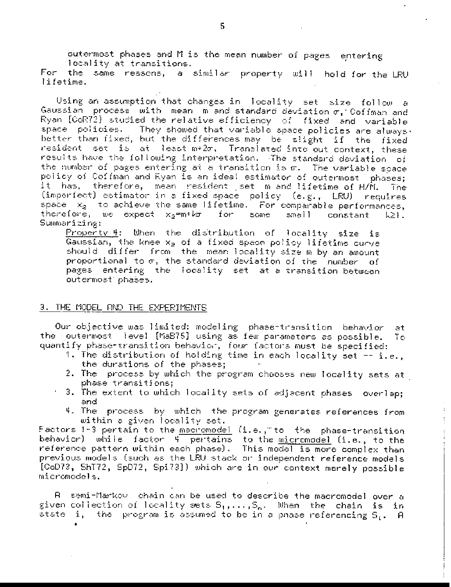outermost phases and M is the mean number of pages entering locality at transitions. For the same reasons, a similar property will hold for the LRU

lifetime.

Using an assumption that changes in locality set size follow a Gaussian process with mean miand standard deviation  $\sigma$ , Coffman and Ryan [CoR72] studied the relative efficiency of fixed and variable space policies. They showed that variable space policies are always. better than fixed, but the differences may be slight if the fixed resident set is at least m+2m. Translated into out context, these results have the following interpretation. The standard deviation of the number of pages entering at a transition is  $\sigma$ . The variable space policy of Coffman and Ryan is an ideal estimator of outermost phases; it has, therefore, mean resident set m and lifetime of H/M. The (imperfect) estimator in a fixed space policy (e.g., LRU) requires space  $x_2$  to achieve the same lifetime. For comparable performances, therefore, we expect x<sub>p</sub>=m+b<del>r</del> for some small constant - IJ 21. Summarizing:

Property 4: When the distribution of locality size is Gaussian, the knee  $x_2$  of a fixed space policy lifetime curve should differ from the mean-locality size m by an amount proportional to  $\sigma$ , the standard deviation of the number of pages entering the locality set at a transition between outermost phases.

#### 3. THE MODEL AND THE EXPERIMENTS

Our objective was limited: modeling phase-transition behavior at the outermost level [MaB75] using as few parameters as possible. Τo quantify phase-transition behavior, four factors must be specified:

- 1. The distribution of holding time in each locality set  $-$  i.e., the durations of the phases;
- 2. The process by which the program chooses new locality sets at phase transitions;
- 3. The extent to which locality sets of adjacent phases overlap; and.
- 4. The process by which the program generates references from within a given locality set.

Factors 1-3 pertain to the <u>macromodel</u> (i.e., to the phase-transition behavior) while factor 4 pertains to the <u>micr</u>omodel (i.e., to the reference pattern within each phase). This model is more complex than previous models (such as the LRU stack or independent reference models [CoD73, ShT72, SpD72, Spi73]) which are in our context merely possible micromodels.

R semi-Markov chain can be used to describe the macromodel over a given collection of locality sets  $S_1, \ldots, S_n$ . When the chain is in atate i, the program is assumed to be in a phase referencing  $\mathsf{S}_i$ . A

5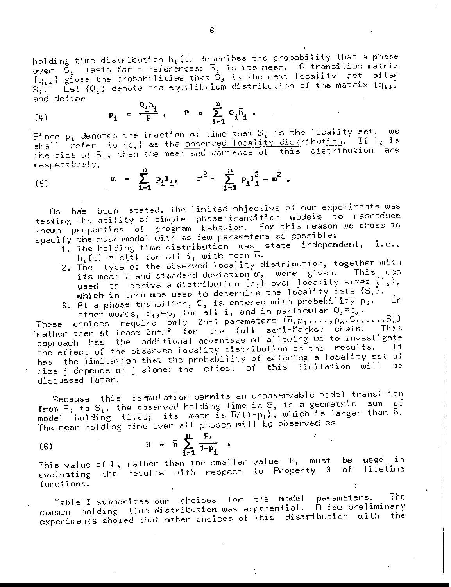holding time distribution  $h_i(t)$  describes the probability that a phase over  $S_i$  lasts for t references;  $\overline{b}_i$  is its mean. A transition matrix  $\left[g_{i,i}\right]$  gives the probabilities that  $S_i$  is the next locality set after  $S_i$ . Let  $\{Q_i\}$  denote the equilibrium distribution of the matrix  $\{q_{i,j}\}$ and define

$$
P_{i} = \frac{Q_{i}h_{i}}{P}, \quad P = \sum_{i=1}^{n} Q_{i}\bar{h}_{i}.
$$

Since  $p_i$  denotes the fraction of time that  $S_i$  is the locality set, we shall refer to (p,) as the <u>observed locality distribution</u>. If  $l_i$  is the size of S<sub>1</sub>, then the mean and variance of this distribution are respectivaly,

(5) 
$$
m = \sum_{i=1}^{n} p_{i}1_{i}, \quad \sigma^{2} = \sum_{i=1}^{n} p_{i}1_{i}^{2} - m^{2}.
$$

As has been stated, the limited objective of our experiments was testing the ability of simple phase-transition models to reproduce known properties of program behavior. For this reason we chose to

- 1. The holding time distribution was state independent, i.e.,  $h_i(t) = h(t)$  for all i, with mean  $\tilde{h}$ .
- 2. The type of the observed locality distribution, together with its mean m and standard deviation  $\sigma$ , were given. This was used to derive a distribution  $\{\rho_i\}$  over locality sizes  $\{\tilde{\tau}_i\}$ , which in turn was used to determine the locality sets  $\{S_i\}$ . In
- 3. At a phase transition,  $S_i$  is entered with probability  $p_i$ . other words,  $q_{ij} = p_j$  for all i, and in particular  $Q_j = p_j$ .

These choices require only 2n+1 parameters  $(\bar{n}, p_1, \ldots, p_n, \bar{S}_1, \ldots, S_n)$ Trather than at least  $2n+n^2$  for the full semi-Markov chain. ್| ಗಾರಿಕ approach has the additional advantage of allowing us to investigate the effect of the observed locality distribution on the results. Ιt has the limitation that the probability of entering a locality set of size j depends on j alone; the effect of this limitation will be discussed later.

Because this formulation permits an unobservable model transition from  $S_i$  to  $S_i$ , the observed holding time in  $S_i$  is a geometric sum of model holding times; its mean is  $E/(1-p_i)$ , which is larger than  $\bar{h}$ . The mean holding time over all phases will be observed as

(6) 
$$
H = \bar{h} \sum_{i=1}^{n} \frac{P_i}{1 - P_i}
$$

This value of H, rather than the smaller value  $E_2$ , must be used in evaluating the results with respect to Property 3 of lifetime functions.

Table I summarizes our choices for the model parameters. The <sub>l</sub> common holding time distribution was exponential. A few preliminary experiments showed that other choices of this distribution with the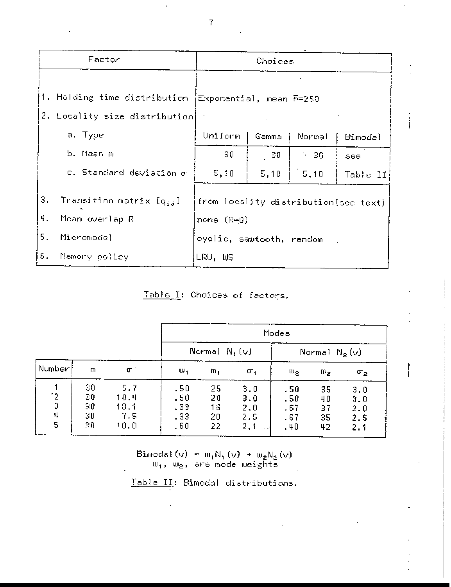|          | Factor                                                                                 | Choices                                              |       |           |          |  |  |  |
|----------|----------------------------------------------------------------------------------------|------------------------------------------------------|-------|-----------|----------|--|--|--|
|          | 1. Holding time distribution [Exponential, mean 5=259<br>2. Locality size distribution |                                                      |       |           |          |  |  |  |
|          | a. Type                                                                                | Uniform                                              | Gamma | Normal    | Bimodal  |  |  |  |
|          | b. Mean m                                                                              | 30.                                                  | $-30$ | $\sim 30$ | see.     |  |  |  |
|          | c. Standard deviation $\sigma$                                                         | 5, 10                                                | 5,10  | 5,10      | Table II |  |  |  |
| 3.<br>ч. | Transition matrix [qij]<br>Mean overlap R                                              | from locality distribution(see text)<br>none $(R=0)$ |       |           |          |  |  |  |
| 5.       | Micromodel                                                                             | cyclic, sawtooth, random                             |       |           |          |  |  |  |
| 6.       | Memory policy                                                                          | LRU, WS                                              |       |           |          |  |  |  |

Table I: Choices of factors.

|                         |                            |                                    | Modes                                        |                            |                                  |                                 |                            |                                 |  |
|-------------------------|----------------------------|------------------------------------|----------------------------------------------|----------------------------|----------------------------------|---------------------------------|----------------------------|---------------------------------|--|
|                         |                            |                                    |                                              | Normal $N_1(v)$            |                                  |                                 | Normal $N_2(v)$            |                                 |  |
| Number                  | m                          | $\sigma$                           | ω,                                           | m,                         | σ,                               | $\mathsf{w}_2$                  | $\mathfrak{m}_{2}$         | $\sigma_2$                      |  |
| $\frac{1}{3}$<br>4<br>5 | 30<br>30<br>30<br>30<br>30 | 5.7<br>10.4<br>10.1<br>7.5<br>10.0 | .50<br>.50<br>.33<br>.33 <sub>°</sub><br>.60 | 25<br>20<br>16<br>20<br>22 | 3.0<br>3.Ŭ<br>2.0<br>2, 5<br>2,1 | .50<br>.50<br>.67<br>.67<br>.40 | 35<br>40<br>37<br>35<br>42 | 3.0<br>3.0<br>2.0<br>2.5<br>2.1 |  |

 $\begin{array}{ll} \text{Binodal}\left(\textsf{v}\right) \; = \; \textsf{w}_1\textsf{N}_1\left(\textsf{v}\right) \; + \; \textsf{w}_2\textsf{N}_2\left(\textsf{v}\right) \\ \textsf{w}_1\text{,} \; \textsf{w}_2\text{,} \; \textsf{are} \; \textsf{mode} \; \textsf{weights} \end{array}$ 

Table II: Bimodal distributions.

 $\overline{I}$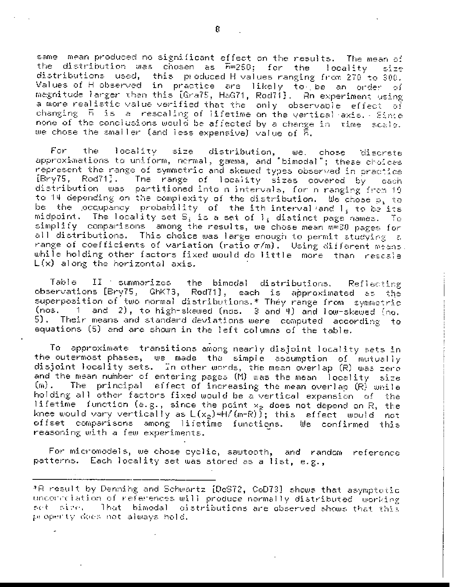same mean produced no significant effect on the results. The mean of the distribution was chosen as F=250; for the locality size distributions used, this produced H values ranging from 270 to 300. Values of H observed in practice are likely to be an order of magnitude larger than this [Gra75, HaG71, Rod71]. An experiment using a more realistic value verified that the lonly lobservable leffect of changing  $F$  is a rescaling of lifetime on the vertical axis. Since none of the conclusions would be affected by a change in time scale. we chose the smaller (and less expensive) value of R.

For the locality size distribution, we chose discrete<br>approximations to uniform, nermal, gamma, and "bimodal"; these-choices represent the range of symmetric and skewed types observed in practice The range of locality sizes covered by  $[Bry75, Rod71]$ . each distribution was partitioned into n intervals, for n ranging from 19 to 14 depending on the complexity of the distribution. We chose  $p_i$  to be its midpoint. The locality set  $S_i$  is a set of  $I_i$  distinct page names. To simplify comparisons among the results, we chose mean m=30 pages for all distributions. This choice was large enough to permit studying a range of coefficients of variation (ratio  $\sigma/m$ ). Using different means, while holding other factors fixed would do little more, than rescale  $L(x)$  along the horizontal axis.

Tab!e  $II$  : summarizes the bimodal distributions. Refiecting observations [Bry75, GhK73, Rod71], each is approximated as the. superposition of two normal distributions.\* They range from symmetric 1 and 2), to high-skewed (nos. 3 and 4) and low-skewed (no. (nos. Their means and standard deviations were computed according to 5). equations (5) and are shown in the left columns of the table.

To approximate transitions among nearly disjoint locality sets in the outermost phases, we made the simple assumption of mutually disjoint locality sets. In other words, the mean overlap (R) was zero and the mean number of entering pages (M) was the mean locality size  $(m)$  . The principal effect of increasing the mean overlap (R) while holding all other factors fixed would be a vertical expansion of the lifetime function (e.g., since the point  $x_2$  does not depend on R, the knee would vary vertically as  $L(x_2)$ =H/(m-R)); this effect would not offset comparisons among lifetime functions. We confirmed this reasoning with a few experiments.

For micromodels, we chose cyclic, sawtooth, and random reference patterns. Each locality set was stored as a list, e.g.,

<sup>\*</sup>A result by Denning and Schwartz [DeS72, CoD73] shows that asymptotic uncorrelation of references will produce normally distributed working set sire, That bimodal distributions are observed shows that this property dues not always hold.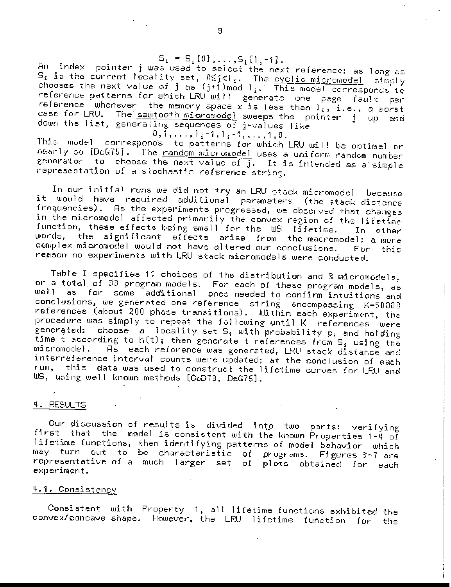An index pointer jums used to select the next reference: as long as<br>S<sub>i</sub> is the current locality set,  $0 \le j < l_1$ . The <u>evolic micromodel</u> simply chooses the next value of j as  $(j+1)$  mod  $l_i$ . This model corresponds to reference patterns for which LRU will generate one page fault per reference whenever the memory space x is less than  $l_i$ , i.e., a worst case for LRU. The sautocin micromodel sweeps the pointer j up and  $0, 1, \ldots, 1, -1, 1, -1, \ldots, 1, 0.$ 

This model corresponds to patterns for which LRU will be optimal or nearly so [DeG75]. The <u>random micromodel</u> uses a uniform random number generator to choose the next value of j. It is intended as a simple representation of a stochastic reference string.

In our initial runs we did not try an LRU stack micromodel because it would have required additional parameters (the stack-distance frequencies). As the experiments progressed, we observed that changes in the micromodel affected primarily the convex region of the lifet $\tilde{t}_{\text{me}}$ function, these effects being small for the US lifetime. In other words, the significant effects arise from the macromodel: a more complex micromodel would not have altered our conclusions. For tins reason no experiments with LRU stack micromodels were conducted.

Table I specifies 11 choices of the distribution and 3 micromodels, or a total of 33 program models. For each of these program models, as well as for some additional ones needed to confirm intuitions and conclusions, we generated one reference string encompassing K=50000 references (about 200 phase transitions). Within each experiment, the procedure was simply to repeat the following until K references were generated: choose a locality set  $S_i$  with probability  $p_i$  and holding time t according to h(t); then generate t references from S, using the As each reference was generated, LRU stack distance and micromodel. interreference interval counts were updated; at the conclusion of each run, this data was used to construct the lifetime curves for LRU and US, using well known methods [CoD73, DeG75].

## 4. RESULTS

Our discussion of results is divided into two parts: verifying first that the model is consistent with the known Properties 1-4 of lifetime functions, then identifying patterns of model behavior which may turn out to be characteristic of programs. Figures 3-7 are representative of a much larger set of plots obtained for each experiment.

## <u> 4.1. Consistency</u>

Consistent with Property 1, all lifetime functions exhibited the convex/concave shape. However, the LRU lifetime function for the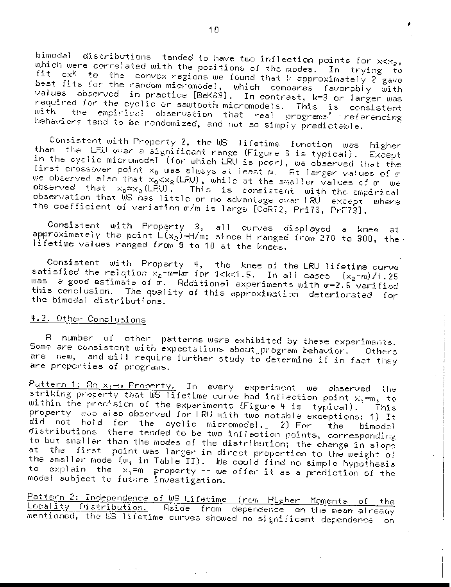bimodal distributions tended to have two inflection points for  $x < x_2$ , which were correlated with the positions of the modes. In trying to fit  $ex^{k}$  to the convex regions we found that  $k$  approximately  $2^{2}$  gave best fits for the random micromodel, which compares favorably with values observed in practice [BeK69]. In contrast, k=3 or larger was required for the cyclic or sawtooth micromodels. This is consistent with the empirical observation that real programs' referencing behaviors tend to be randomized, and not so simply predictable.

Consistent with Property 2, the US lifetime function was higher than the LRU over a significant range (Figure 3 is typical). Except in the cyclic micromodel (for which LRU is poor), we observed that the first crossover point  $x_0$  was always at least m. At larger values of  $\sigma$ we observed also that  $x_0 < x_g$  (LRU), while at the smaller values of  $\sigma$  we observed that  $x_0 \approx x_2$  (LPU). This is consistent with the empirical observation that WS has little or no advantage ovar LRU except where the coefficient of variation o/m is large [CoR72, Pri73, PrF73].

Consistent with Property 3, all curves displayed a knee at approximately the point  $L(x_2)$ =H/m; since H ranged from 270 to 300, the lifetime values ranged from 9 to 10 at the knees.

Consistent with Property 4, the knee of the LRU lifetime curve satisfied the relation  $x_2$ -m=kg for 1<k<1.5. In all cases  $(x_2 - m)/1.25$ was a good estimate of  $\tilde{\sigma}$ . Reditional experiments with  $\sigma$ =2.5 verified this conclusion. The quality of this approximation deteriorated for the bimodal distributions.

# 4.2. Other Conclusions

A number of other patterns were exhibited by these experiments. Some are consistent with expectations about program behavior. Others are new, and will require further study to determine if in fact they are properties of programs.

Pattern 1: Bo x<sub>1</sub>=m Property. In every experiment we observed the striking property that WS lifetime curve had inflection point  $x_1 = m$ , to within the precision of the experiments (Figure 4 is typical). This property was also observed for LRU with two notable exceptions: 1) It did not hold for the cyclic micromodel. 2) For the l bimodal distributions there tended to be two inflection points, corresponding to but smaller than the modes of the distribution; the change in slope at the first point was larger in direct proportion to the weight of the smaller mode (w<sub>i</sub> in Table II). We could find no simple hypothesis to explain the  $x_1 = m$  property -- we offer it as a prediction of the model subject to future investigation.

Pattern 2: Independence of WS Lifetime from Higher Moments of the Locality Distribution. Aside from dependence on the mean already mentioned, the US lifetime curves showed no significant dependence on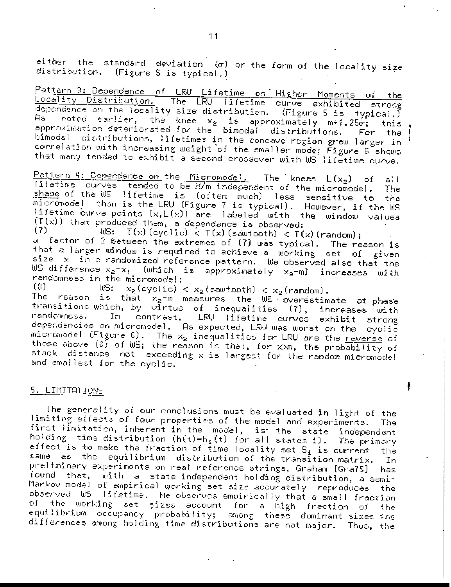either the standard deviation (o) or the form of the locality size distribution. (Figure 5 is typical.)

Pattern 3: Dependence of LRU Lifetime on Higher Moments of the Locality Distribution. The LRU lifetime curve exhibited strong dependence on the locality size distribution. (Figure 5 is typical.) As noted earlier, the knee  $x_2$  is approximately m+1.25 $\sigma$ ; this approximation deteriorated for the bimodal distributions. For the bimodal distributions, lifetimes in the concave region grew larger in correlation with increasing weight of the smaller mode; Figure 6 shows that many tended to exhibit a second crossover with US lifetime curve.

Pattern 4: Dependence on the Micromodel. The knees L(x<sub>2</sub>) of all lifetime curves tended to be H/m independent of the micromodel. The: shape of the WS lifetime is (often much) less sensitive to the micromodel than is the LRU (Figure 7 is typical). However, if the WS lifetime curve points (x, L(x)) are labeled with the window values  $(T(x))$  that produced them, a dependence is observed:  $(7)$ 

 $\text{MS:}$   $T(x)$  (cyclic)  $\lt T(x)$  (sawtooth)  $\lt T(x)$  (random); a factor of 2 between the extremes of (7) was typical. The reason is that a larger window is required to achieve a working set of given size x in a randomized reference pattern. We observed also that the WS difference  $x_2 - x_1$  (which is approximately  $x_2 - m$ ) increases with randomness in the micromodel:

US:  $x_2$ (cyclic) <  $x_2$ (sawtooth) <  $x_2$ (random).  $(3)$ 

The reason is that  $x_2$ -m measures the WS overestimate at phase transitions which, by virtue of inequalities (7), increases with In contrast, LRU lifetime curves exhibit strong randomness. I dependencies on micromodel. As expected, LRU was worst on the eyelic micromodel (Figure 6). The  $x_2$  inequalities for LRU are the reverse of those above (8) of WS; the reason is that, for x>m, the probability of stack distance not exceeding x is largest for the random micromodel and smallest for the cyclic.

## <u>5. LIMITATIONS </u>

The generality of our conclusions must be evaluated in light of the limiting effects of four properties of the model and experiments. The first limitation, inherent in the model, is the state independent holding time distribution  $(h(t)=h_i(t))$  for all states i). The primary effect is to make the fraction of time locality set  $S_i$  is current the. same as the equilibrium distribution of the transition matrix. In preliminary experiments on real reference strings, Graham [Gra75] [ has found that, with a state independent holding distribution, a semi-Markov model of empirical working set size accurately reproduces the observed US lifetime. He observes empirically that a small fraction of the working set sizes account for a high fraction of i the equilibrium occupancy probability; among these dominant sizes the differences among holding time distributions are not major. Thus, the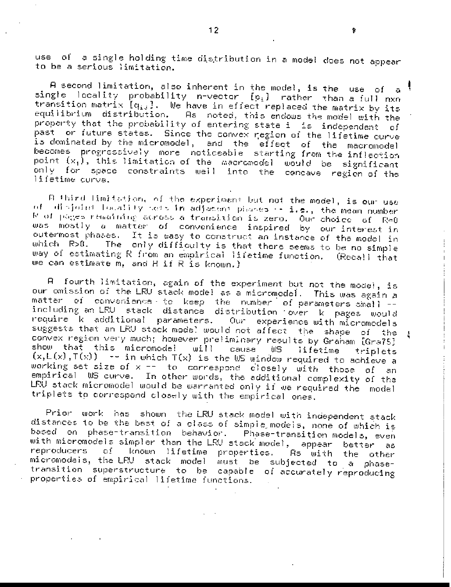use of a single holding time distribution in a model does not appear to be a serious limitation.

A second limitation, also inherent in the model, is the use of  $\bar{a}$ single locality probability n-vector  $\{p_i\}$  rather than a full nxn transition matrix  $\left[ q_{13}\right]$ . We have in effect replaced the matrix by its equilibrium distribution. As noted, this endows the model with the property that the probability of entering state i is independent of past or future states. Since the convex region of the lifetime curve is dominated by the micromodel, and the effect of the macromodel becomes progressively more noticeable starting from the inflection point  $(x_1)$ , this limitation of the macromodel would be significant only for space constraints well into the concave region of the lifetime curva.

B third limitation, of the experiment but not the model, is our use of disjoint locality sets in adjacent phases -- i.e., the mean number  $F$  of pages remaining across a transition is zero. Our choice of  $Re\theta$ was mostly a matter of convenience inspired by our interest in outermost phases. It is easy to construct an instance of the model in The lonly difficulty is that there seems to be no simple which R>0. way of estimating R from an empirical lifetime function. (Recall that we can estimate m, and H if R is known.)

A fourth limitation, again of the experiment but not the model, is our omission of the LRU stack model as a micromodel. This was again a matter of convenience to keep the number of parameters small -including an LRU stack distance distribution over k pages would require k additional parameters. Our experience with micromodels suggests that an LRU stack model would not affect the shape of the convex region very much; however preliminary results by Graham [Gra75] show that this micromodel will cause US lifetime triplets  $(x, L(x), T(x))$  -- in which  $T(x)$  is the US window required to achieve a working set size of x -- to correspond closely with those of an empirical WS curve. In other words, the additional complexity of the LRU stack micromodel would be warranted only if we required the model triplets to correspond closely with the empirical ones.

Prior work has shown the LRU stack model with independent stack distances to be the best of a class of simple models, none of which is based on phase-transition behavior. Phase-transition models, even with micromodels simpler than the LRU stack model, appear better as  $-0.1$ known lifetime properties. reproducers As with the other micromodeis, the LRU stack model must be subjected to a phasetransition superstructure to be capable of accurately reproducing properties of empirical lifetime functions.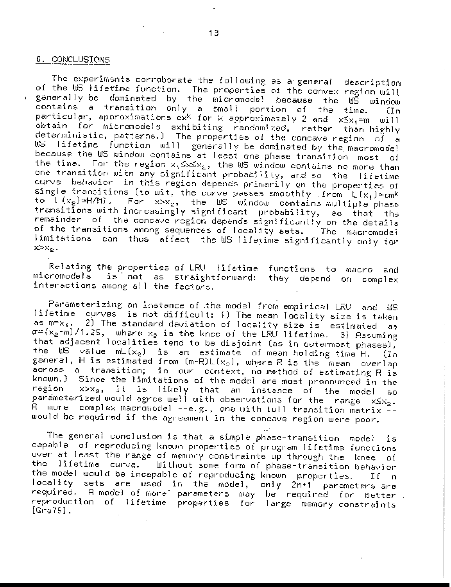#### 6. CONCLUSIONS

The experiments corroborate the following as a general description of the US lifetime function. The properties of the convex region will generally be dominated by the micromode! because the WS window contains a transition only a small portion of the time. (In<br>particular, approximations ox<sup>k</sup> for k approximately 2 and  $x \le x_1 = m$  will íIn. obtain for micromodels exhibiting randomized, rather than-highly deterministic, patterns.) The properties of the concave region of a US lifetime function will generally be dominated by the macromode! because the US window contains at least one phase transition most οf the time. For the region  $x_1 \le x \le x_2$ , the US window contains no more than one transition with any significant probability, and so the lifetime curve behavior in this region depends primarily on the properties of single transitions (to wit, the curve passes smoothly from  $L(x_i) \simeq cm^k$ to  $L(x_2) \approx H/M$ ). For  $x > x_2$ , the US window contains multiple phase transitions with increasingly significant probability,  $\,$ so that the. remainder of the concave region depends significantly on the details of the transitions among sequences of locality sets. The macromodel limitations can thus affect the WS lifetime significantly only for  $x > x_2$ .

Relating the properties of LRU lifetime functions to macro and is not as straightforward: micromodels they depend on complex interactions among all the factors.

Parameterizing an instance of the model from empirical LRU and WS lifetime curves is not difficult: 1) The mean locality size is taken 2) The standard deviation of locality size is estimated as m=x..  $a<sub>5</sub>$  $\sigma = (x_2 - m)/1.25$ , where  $x_2$  is the knee of the LRU lifetime. 3) Assuming that adjacent localities tend to be disjoint (as in outermost phases), the  $\mathsf{MS}^*$  value  $\mathsf{mL}(x_2)$  is an estimate of mean holding time H.  $\{In$ general, H is estimated from  $(m-R)L(x_2)$ , where R is the mean overlap across a transition; in our context, no method of estimating R is known.) Since the limitations of the model are most pronounced in the  $x > x_2$ , it is likely that an instance of the model region 60. parameterized would agree we!! with observations for the range  $x \le x_2$ . A more complex macromodel --e.g., one with full transition matrix -would be required if the agreement in the concave region were poor.

The general conclusion is that a simple phase-transition model is capable of reproducing known properties of program lifetime functions over at least the range of memory constraints up through the lines of the lifetime curve. Without some form of phase-transition behavior the model would be incapable of reproducing known properties.  $If n$ locality sets are used in the model, only 2n+1 parameters are required. A model of more parameters may be required for better reproduction of lifetime properties for large memory constraints  $[Gra75]$ .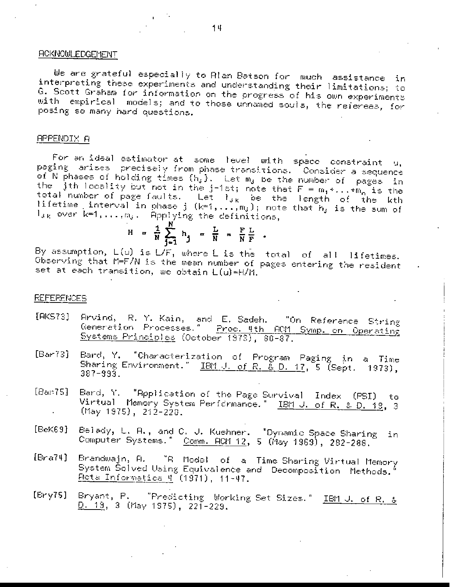# **ACKNOWLEDGEMENT**

We are grateful especially to Alan Batson for much assistance in interpreting these experiments and understanding their limitations; to G. Scott Graham for information on the progress of his own experiments with empirical models; and to those unnamed souls, the referees, for posing so many hard questions.

#### **APPENDIX A**

For an ideal estimator at some level with space constraint  $q$ , paging arises precisely from phase transitions. Consider a sequence of N phases of holding times (h,). Let m, be the number of pages in the jth locality but not in the j-1st; note that  $F = m_1 * ... * m_n$  is the total number of page faults. Let l<sub>ik</sub> be the length of the kth lifetime interval in phase  $j^-(k=1,\ldots,m_j)$ ; note that  $n_j$  is the sum of  $1_{\delta K}$  over  $k=1,\ldots,m_{\delta}$ . Applying the definitions,

$$
H = \frac{1}{N} \sum_{j=1}^{N} h_j = \frac{L}{N} = \frac{F}{N} \frac{L}{F}.
$$

By assumption,  $L(u)$  is  $L/F$ , where  $L$  is the total of all lifetimes. Observing that M=F/N is the mean number of pages entering the resident set at each transition, we obtain L(u)=H/M.

#### **REFERENCES**

- Arvind, R. Y. Kain, and E. Sadeh. [AK573] "On Reference String Generation Processes." Proc. 4th ACM Symp. on Operating Systems Principles (October 1973), 80-87.
- Bard, Y. "Characterization of Program Paging in a Time  $[Bar73]$ Sharing Environment." IBM J. of R. & D. 17, 5 (Sept. 1973),  $387 - 993.$
- $[Bar75]$ Bard, Y. "Application of the Page Survival Index (PSI) ίo Virtual Memory System Performance." IBM J. of R. & D. 18, 3 (May 1975), 212-220.
- Belady, L. A., and C. J. Kuehner. "Dynamic Space Sharing  $[BeK69]$ in Computer Systems." Comm. ACM 12, 5 (May 1969), 282-288.
- $[Bra74]$ "A Model of a Time-Sharing-Virtual-Memory Brandwajn, A. System Šolved Using Equivalence and Decomposition Methods. <u> Pota Informatica 4</u> (1971), 11-47.
- Bryant, P. "Predicting Working Set Sizes." IBM J. of R. &  $[Ery75]$ <u>D. 19</u>, 3 (May 1975), 221-229.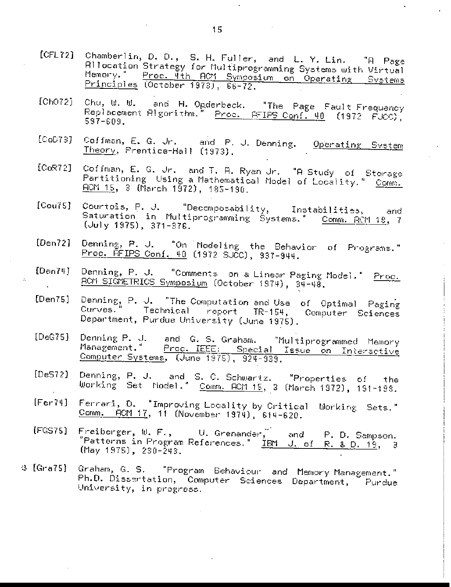- Chamberlin, D. D., S. H. Fuller, and L. Y. Lin. "A Page<br>Allocation Strategy for Multiprogramming Systems with Virtual  $[CFL72]$ Memory." Proc. 4th ACM Symposium on Operating Systems Principles (October 1973), 66-72.
- $[ChO72]$ Chu, W. W. and H. Opderbeck. "The Page Fault Frequency Replacement Algorithm. Proc. SFIPS Conf. 40 (1972 FJCC),  $597 - 609.$
- $[COD73]$ Coffman, E. G. Jr. and F. J. Denning. Operating System Theory, Prentice-Hall (1973).
- $[CoR72]$ Coffman, E. G. Jr. and T. A. Ryan Jr. "A Study of Storage Partitioning Using a Mathematical Model of Locality." Comm.  $\underline{\textsf{ROM}}$  15, 3 (March 1972), 185-190.
- Courtois, P. J. "Decomposability, Instabilities,  $[Cou75]$ - and Saturation in Multiprogramming Systems." Comm. RCM 18, 7  $($ July 1975), 371-376.
- Denning, P. J. "On Modeling the Behavior of Programs."<br><u>Proc. REIPS Conf. 40</u> (1972 SJCC), 937-944.  $[Den72]$
- $[Den74]$ Denning, P. J. "Comments on a Linear Paging Model." Proc. RCM SIGMETRICS Symposium (October 1974), 34-48.
- $[Den75]$ Denning, P. J. "The Computation and Use of Optimal Paging Curves." Technical report TR-154, Computer Sciences Department, Purdue University (June 1975).
- $[DeG75]$ Denning P. J. and G. S. Graham. "Multiprogrammed Memory Management." Proc. IEEE: Special Issue on Interactive
- Denning, P. J. and S. C. Schwartz. "Properties of the  $[Des72]$ Working Set Model." Comm. ACM 15, 3 (March 1972), 191-199.
- Ferrari, D. "Improving Locality by Critical  $[Fer74]$ Working Sets." Comm. ACM 17, 11 (November 1974), 614-620.
- $[FGS75]$ Freiberger,  $\mathfrak{w}_{\epsilon}$  F.,  $\qquad$  U. Grenander,  $\tilde{}$ and i P. D. Sampson. "Patterns in Program References." IBM J. of R. & D. 19, 3 (May 1975), 230-243.
- Graham, G. S. "Program Behaviour and Memory Management."  $Q$  [Gra75] Ph.D. Dissertation, Computer Sciences Department, Purdue University, in progress.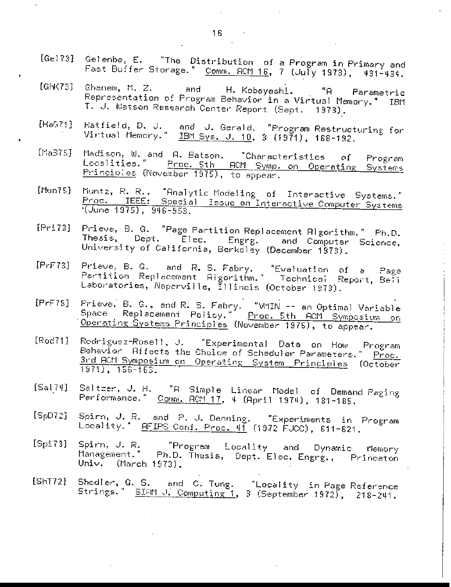- [Gel73] Gelenbe, E. "The Distribution of a Program in Primary and Fast Buffer Storage." Comm. ACM 16, 7 (July 1973), 431-434.
- $[GbK73]$ Ghanem, M. Z. and H. Kobayashi. "A l Parametric Representation of Program Behavior in a Virtual Memory." IBM T. J. Watson Research Center Report (Sept. 1973).
- Hatfield, D. J. and J. Gerald. "Program Restructuring for<br>Virtual Memory." <u>IBM Sys. J. 10</u>, 3 (1971), 168-192. [HaG71]
- Madison, W. and A. Batson. "Characteristics  $[Max75]$  $of$ Program Localities." Proc. 5th ACM Symp. on Operating Systems Principles (November 1975), to appear.
- Muntz, R. R.. "Analytic Modeling of Interactive Systems."  $[11un75]$ Proc. IEEE: Special Issue on Interactive Computer Systems (June 1975), 946-953.
- $[Pri73]$ Prieve, B. G. "Page Partition Replacement Algorithm." Ph.D. Thesis, Dept. Elec. Engrg. and Computer Science, University of California, Berkeley (December 1973).
- Prieve, B. G. and R. S. Fabry. "Evaluation of a  $[PrF73]$ Page Partition Replacement Aigorithm." Technical Report, Bell Laboratories, Naperville, Illinois (October 1973).
- Prieve, B. G., and R. S. Fabry. "VMIN -- an Optimal Variable  $[PrF75]$ Replacement Policy." Proc. 5th BCM Symposium on Space Operating Systems Principles (November 1975), to appear.
- Rodriguez-Rosell, J. "Experimental Data on How Program  $[Rocl71]$ Behavior Affects the Choice of Scheduler Parameters." Proc. 3rd ACM Symposium on Operating System Principles (October  $1971)$ ,  $156-163$ .
- Saltzer, J. H. "A Simple Linear Model of Demand Paging  $[Sal74]$ Performance." Comm. RCM 17, 4 (April 1974), 181-185.
- Spirn, J. R. and P. J. Denning. "Experiments in Program  $[SpD72]$ Locality." <u>AFIPS Conf. Proc. 41</u> (1972 FJCC), 611-621.
- $[Spin3]$ "Program Locality and Spirn, J. R. Dynamic Memory Management." Ph.D. Thesis, Dept. Elec. Engrg., Princeton Univ. (March 1973).
- Shedler, G. S. and C. Tung. "Locality in Page Reference<br>Strings." <u>SIAM J. Computing 1</u>, 3 (September 1972), 218-241.  $[ShT72]$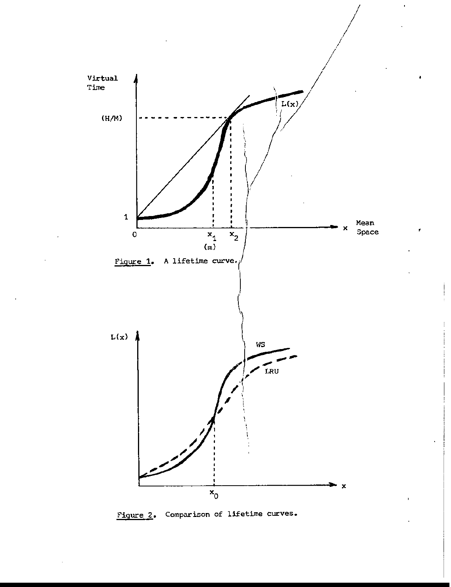

Comparison of lifetime curves. Figure 2.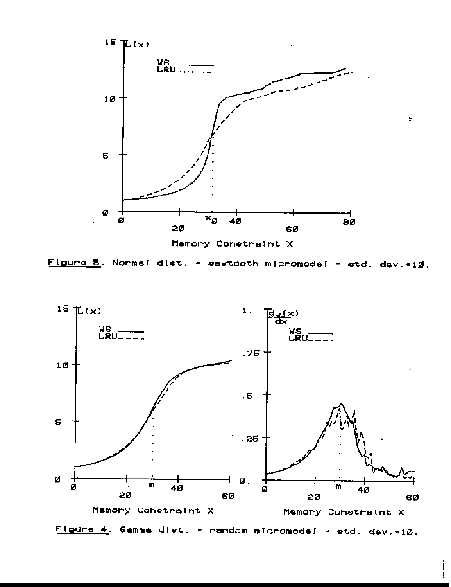

Figure 3. Norme! dist. - sewtooth micromode! - std. dev. = 10.



Figure 4. Gemme diet. - rendom micromodef - std. dev.-10.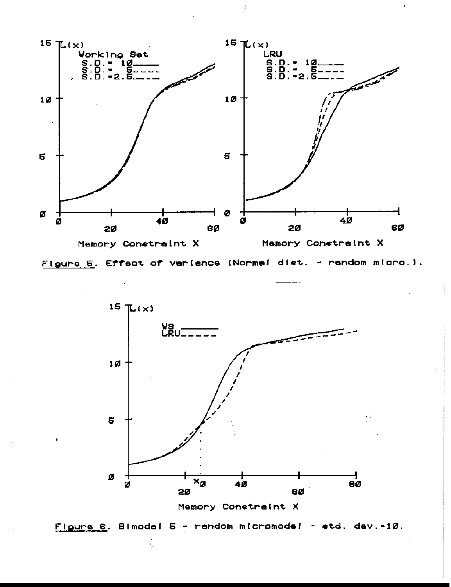

Figure 5. Effect of verlence (Norme! dist. - rendom micro.).





k,